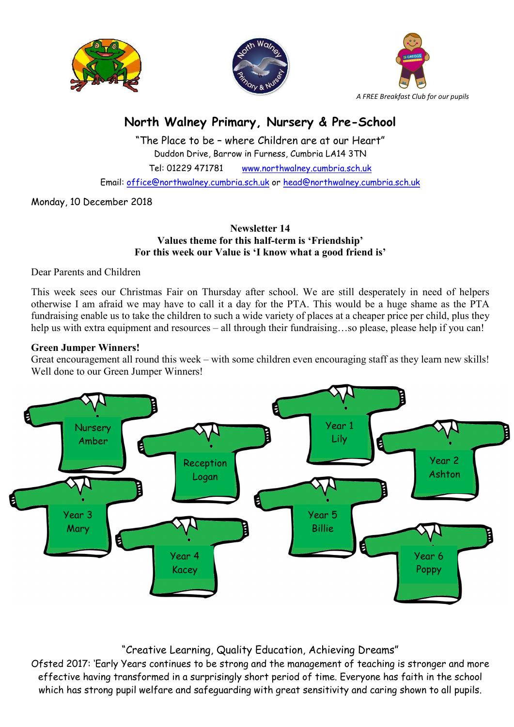





# North Walney Primary, Nursery & Pre-School

"The Place to be – where Children are at our Heart" Duddon Drive, Barrow in Furness, Cumbria LA14 3TN Tel: 01229 471781 www.northwalney.cumbria.sch.uk Email: office@northwalney.cumbria.sch.uk or head@northwalney.cumbria.sch.uk

Monday, 10 December 2018

#### Newsletter 14 Values theme for this half-term is 'Friendship' For this week our Value is 'I know what a good friend is'

Dear Parents and Children

This week sees our Christmas Fair on Thursday after school. We are still desperately in need of helpers otherwise I am afraid we may have to call it a day for the PTA. This would be a huge shame as the PTA fundraising enable us to take the children to such a wide variety of places at a cheaper price per child, plus they help us with extra equipment and resources – all through their fundraising...so please, please help if you can!

### Green Jumper Winners!

Great encouragement all round this week – with some children even encouraging staff as they learn new skills! Well done to our Green Jumper Winners!



## "Creative Learning, Quality Education, Achieving Dreams"

Ofsted 2017: 'Early Years continues to be strong and the management of teaching is stronger and more effective having transformed in a surprisingly short period of time. Everyone has faith in the school which has strong pupil welfare and safeguarding with great sensitivity and caring shown to all pupils.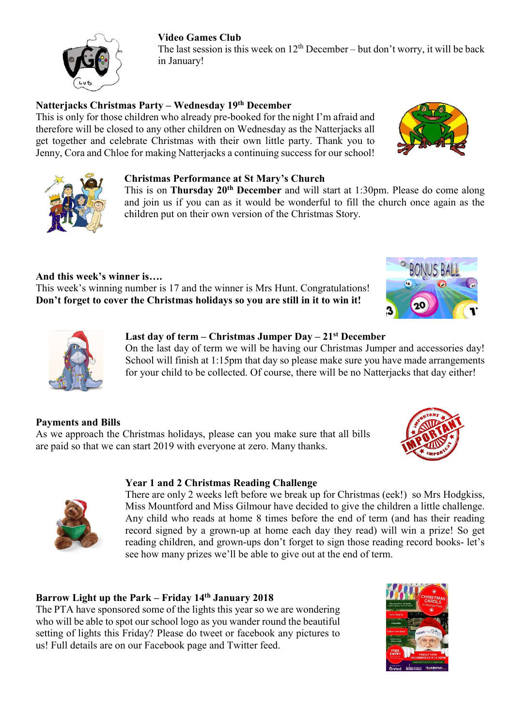#### Video Games Club

The last session is this week on  $12<sup>th</sup>$  December – but don't worry, it will be back in January!

### Natterjacks Christmas Party – Wednesday 19th December

This is only for those children who already pre-booked for the night I'm afraid and therefore will be closed to any other children on Wednesday as the Natterjacks all get together and celebrate Christmas with their own little party. Thank you to Jenny, Cora and Chloe for making Natterjacks a continuing success for our school!

#### Christmas Performance at St Mary's Church

This is on Thursday 20<sup>th</sup> December and will start at 1:30pm. Please do come along and join us if you can as it would be wonderful to fill the church once again as the children put on their own version of the Christmas Story.

And this week's winner is….

This week's winning number is 17 and the winner is Mrs Hunt. Congratulations! Don't forget to cover the Christmas holidays so you are still in it to win it!

### Last day of term – Christmas Jumper Day –  $21<sup>st</sup>$  December

On the last day of term we will be having our Christmas Jumper and accessories day! School will finish at 1:15pm that day so please make sure you have made arrangements for your child to be collected. Of course, there will be no Natterjacks that day either!

## Payments and Bills

As we approach the Christmas holidays, please can you make sure that all bills are paid so that we can start 2019 with everyone at zero. Many thanks.

## Year 1 and 2 Christmas Reading Challenge

There are only 2 weeks left before we break up for Christmas (eek!) so Mrs Hodgkiss, Miss Mountford and Miss Gilmour have decided to give the children a little challenge. Any child who reads at home 8 times before the end of term (and has their reading record signed by a grown-up at home each day they read) will win a prize! So get reading children, and grown-ups don't forget to sign those reading record books- let's see how many prizes we'll be able to give out at the end of term.

## Barrow Light up the Park – Friday 14th January 2018

The PTA have sponsored some of the lights this year so we are wondering who will be able to spot our school logo as you wander round the beautiful setting of lights this Friday? Please do tweet or facebook any pictures to us! Full details are on our Facebook page and Twitter feed.